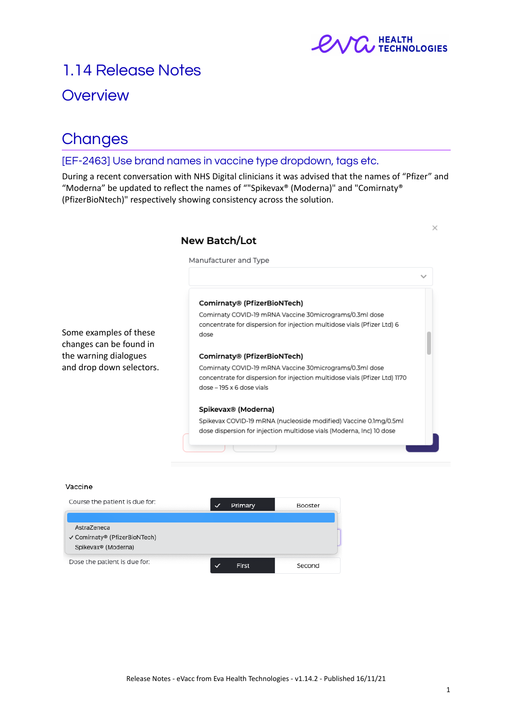

# 1.14 Release Notes

### **Overview**

## **Changes**

### [EF-2463] Use brand names in vaccine type dropdown, tags etc.

During a recent conversation with NHS Digital clinicians it was advised that the names of "Pfizer" and "Moderna" be updated to reflect the names of ""Spikevax® (Moderna)" and "Comirnaty® (PfizerBioNtech)" respectively showing consistency across the solution.



#### Vaccine

| Course the patient is due for:                                                  | Primary | Booster |
|---------------------------------------------------------------------------------|---------|---------|
| AstraZeneca<br>√ Comirnaty® (PfizerBioNTech)<br>Spikevax <sup>®</sup> (Moderna) |         |         |
| Dose the patient is due for:                                                    | First   | Second  |